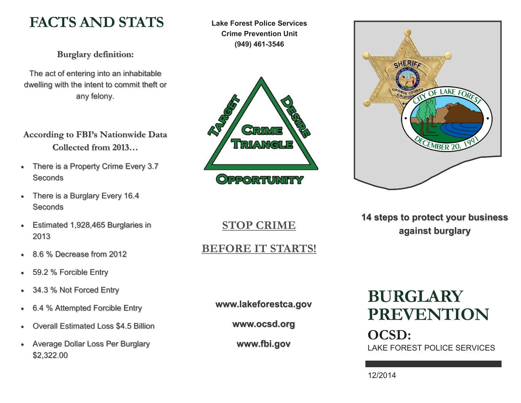# **FACTS AND STATS**

**Burglary definition:** 

The act of entering into an inhabitable dwelling with the intent to commit theft or any felony.

# **According to FBI's Nationwide Data Collected from 2013…**

- There is a Property Crime Every 3.7 **Seconds**
- There is a Burglary Every 16.4 **Seconds**
- Estimated 1,928,465 Burglaries in 2013
- 8.6 % Decrease from 2012
- 59.2 % Forcible Entry
- 34.3 % Not Forced Entry
- 6.4 % Attempted Forcible Entry
- Overall Estimated Loss \$4.5 Billion
- Average Dollar Loss Per Burglary \$2,322.00

**Lake Forest Police Services Crime Prevention Unit (949) 461-3546**





**14 steps to protect your business against burglary**

**STOP CRIME** 

**BEFORE IT STARTS!**

**www.lakeforestca.gov**

**www.ocsd.org**

**www.fbi.gov**

# **BURGLARY PREVENTION OCSD:** LAKE FOREST POLICE SERVICES

12/2014